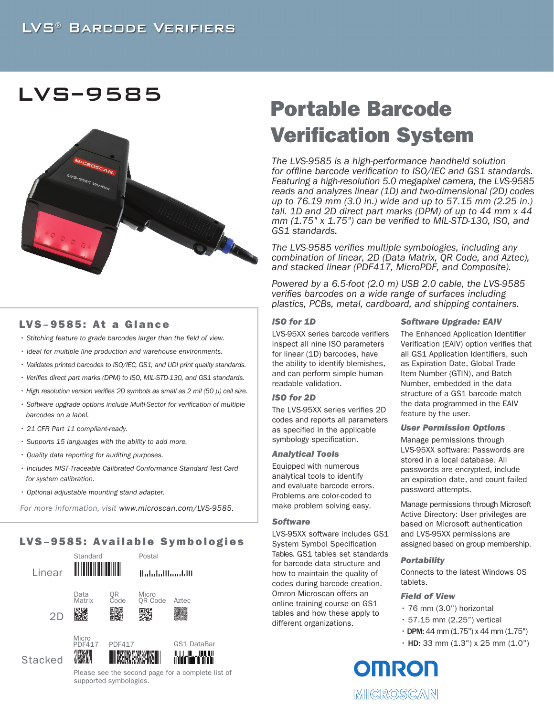## LVS<sup>®</sup> BARCODE VERIFIERS

## LVS**–**9585



### LVS **–** 9585: At a Glance

- *Stitching feature to grade barcodes larger than the field of view.*
- *Ideal for multiple line production and warehouse environments.*
- *Validates printed barcodes to ISO/IEC, GS1, and UDI print quality standards.*
- *Verifies direct part marks (DPM) to ISO, MIL-STD-130, and GS1 standards.*
- *High resolution version verifies 2D symbols as small as 2 mil (50 µ) cell size.*
- *Software upgrade options include Multi-Sector for verification of multiple barcodes on a label.*
- *21 CFR Part 11 compliant-ready.*
- *Supports 15 languages with the ability to add more.*
- *Quality data reporting for auditing purposes.*
- *Includes NIST-Traceable Calibrated Conformance Standard Test Card for system calibration.*
- *Optional adjustable mounting stand adapter.*

 *For more information, visit www.microscan.com/LVS-9585.*

## LVS **–** 9585: Available Symbologies



Please see the second page for a complete list of supported symbologies.

# Portable Barcode Verification System

*The LVS-9585 is a high-performance handheld solution for offline barcode verification to ISO/IEC and GS1 standards. Featuring a high-resolution 5.0 megapixel camera, the LVS-9585 reads and analyzes linear (1D) and two-dimensional (2D) codes up to 76.19 mm (3.0 in.) wide and up to 57.15 mm (2.25 in.) tall. 1D and 2D direct part marks (DPM) of up to 44 mm x 44 mm (1.75" x 1.75") can be verified to MIL-STD-130, ISO, and GS1 standards.* 

*The LVS-9585 verifies multiple symbologies, including any combination of linear, 2D (Data Matrix, QR Code, and Aztec), and stacked linear (PDF417, MicroPDF, and Composite).*

*Powered by a 6.5-foot (2.0 m) USB 2.0 cable, the LVS-9585 verifies barcodes on a wide range of surfaces including plastics, PCBs, metal, cardboard, and shipping containers.*

#### *ISO for 1D*

LVS-95XX series barcode verifiers inspect all nine ISO parameters for linear (1D) barcodes, have the ability to identify blemishes, and can perform simple humanreadable validation.

#### *ISO for 2D*

The LVS-95XX series verifies 2D codes and reports all parameters as specified in the applicable symbology specification.

#### *Analytical Tools*

Equipped with numerous analytical tools to identify and evaluate barcode errors. Problems are color-coded to make problem solving easy.

#### *Software*

LVS-95XX software includes GS1 System Symbol Specification Tables. GS1 tables set standards for barcode data structure and how to maintain the quality of codes during barcode creation. Omron Microscan offers an online training course on GS1 tables and how these apply to different organizations.

#### *Software Upgrade: EAIV*

The Enhanced Application Identifier Verification (EAIV) option verifies that all GS1 Application Identifiers, such as Expiration Date, Global Trade Item Number (GTIN), and Batch Number, embedded in the data structure of a GS1 barcode match the data programmed in the EAIV feature by the user.

#### *User Permission Options*

Manage permissions through LVS-95XX software: Passwords are stored in a local database. All passwords are encrypted, include an expiration date, and count failed password attempts.

Manage permissions through Microsoft Active Directory: User privileges are based on Microsoft authentication and LVS-95XX permissions are assigned based on group membership.

#### *Portability*

Connects to the latest Windows OS tablets.

#### *Field of View*

- 76 mm (3.0") horizontal
- 57.15 mm (2.25") vertical
- $\cdot$  DPM: 44 mm (1.75") x 44 mm (1.75")
- $\cdot$  HD: 33 mm (1.3") x 25 mm (1.0")

**OMRON** MICROSCAN